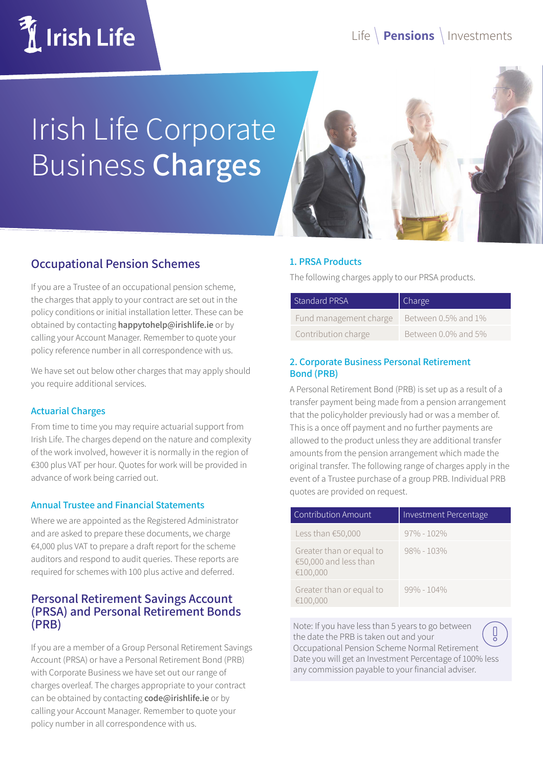

# Irish Life Corporate Business **Charges**



# **Occupational Pension Schemes**

If you are a Trustee of an occupational pension scheme, the charges that apply to your contract are set out in the policy conditions or initial installation letter. These can be obtained by contacting **happytohelp@irishlife.ie** or by calling your Account Manager. Remember to quote your policy reference number in all correspondence with us.

We have set out below other charges that may apply should you require additional services.

#### **Actuarial Charges**

From time to time you may require actuarial support from Irish Life. The charges depend on the nature and complexity of the work involved, however it is normally in the region of €300 plus VAT per hour. Quotes for work will be provided in advance of work being carried out.

#### **Annual Trustee and Financial Statements**

Where we are appointed as the Registered Administrator and are asked to prepare these documents, we charge €4,000 plus VAT to prepare a draft report for the scheme auditors and respond to audit queries. These reports are required for schemes with 100 plus active and deferred.

### **Personal Retirement Savings Account (PRSA) and Personal Retirement Bonds (PRB)**

If you are a member of a Group Personal Retirement Savings Account (PRSA) or have a Personal Retirement Bond (PRB) with Corporate Business we have set out our range of charges overleaf. The charges appropriate to your contract can be obtained by contacting **code@irishlife.ie** or by calling your Account Manager. Remember to quote your policy number in all correspondence with us.

#### **1. PRSA Products**

The following charges apply to our PRSA products.

| <b>Standard PRSA</b>   | Charge              |
|------------------------|---------------------|
| Fund management charge | Between 0.5% and 1% |
| Contribution charge    | Between 0.0% and 5% |

#### **2. Corporate Business Personal Retirement Bond (PRB)**

A Personal Retirement Bond (PRB) is set up as a result of a transfer payment being made from a pension arrangement that the policyholder previously had or was a member of. This is a once off payment and no further payments are allowed to the product unless they are additional transfer amounts from the pension arrangement which made the original transfer. The following range of charges apply in the event of a Trustee purchase of a group PRB. Individual PRB quotes are provided on request.

| Contribution Amount                                           | Investment Percentage |
|---------------------------------------------------------------|-----------------------|
| Less than $€50,000$                                           | $97\% - 102\%$        |
| Greater than or equal to<br>€50,000 and less than<br>€100,000 | $98\% - 103\%$        |
| Greater than or equal to<br>€100,000                          | $99\% - 104\%$        |

Note: If you have less than 5 years to go between the date the PRB is taken out and your Occupational Pension Scheme Normal Retirement Date you will get an Investment Percentage of 100% less any commission payable to your financial adviser.